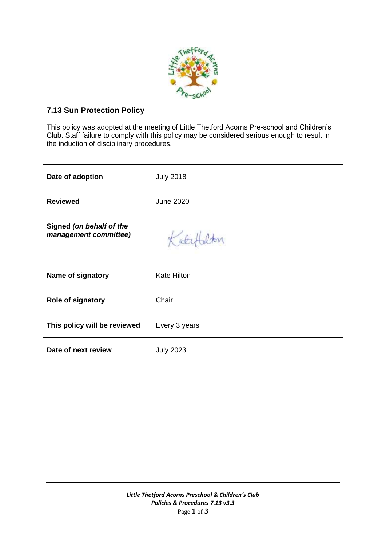

# **7.13 Sun Protection Policy**

This policy was adopted at the meeting of Little Thetford Acorns Pre-school and Children's Club. Staff failure to comply with this policy may be considered serious enough to result in the induction of disciplinary procedures.

| Date of adoption                                  | <b>July 2018</b>   |
|---------------------------------------------------|--------------------|
| <b>Reviewed</b>                                   | <b>June 2020</b>   |
| Signed (on behalf of the<br>management committee) | Katef              |
| Name of signatory                                 | <b>Kate Hilton</b> |
| Role of signatory                                 | Chair              |
| This policy will be reviewed                      | Every 3 years      |
| Date of next review                               | <b>July 2023</b>   |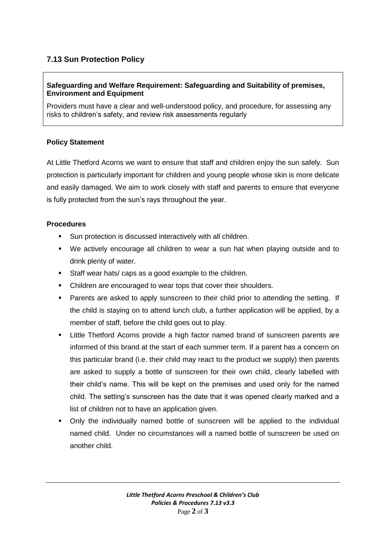# **7.13 Sun Protection Policy**

#### **Safeguarding and Welfare Requirement: Safeguarding and Suitability of premises, Environment and Equipment**

Providers must have a clear and well-understood policy, and procedure, for assessing any risks to children's safety, and review risk assessments regularly

#### **Policy Statement**

At Little Thetford Acorns we want to ensure that staff and children enjoy the sun safely. Sun protection is particularly important for children and young people whose skin is more delicate and easily damaged. We aim to work closely with staff and parents to ensure that everyone is fully protected from the sun's rays throughout the year.

#### **Procedures**

- Sun protection is discussed interactively with all children.
- We actively encourage all children to wear a sun hat when playing outside and to drink plenty of water.
- Staff wear hats/ caps as a good example to the children.
- Children are encouraged to wear tops that cover their shoulders.
- **Parents are asked to apply sunscreen to their child prior to attending the setting.** If the child is staying on to attend lunch club, a further application will be applied, by a member of staff, before the child goes out to play.
- Little Thetford Acorns provide a high factor named brand of sunscreen parents are informed of this brand at the start of each summer term. If a parent has a concern on this particular brand (i.e. their child may react to the product we supply) then parents are asked to supply a bottle of sunscreen for their own child, clearly labelled with their child's name. This will be kept on the premises and used only for the named child. The setting's sunscreen has the date that it was opened clearly marked and a list of children not to have an application given.
- Only the individually named bottle of sunscreen will be applied to the individual named child. Under no circumstances will a named bottle of sunscreen be used on another child.